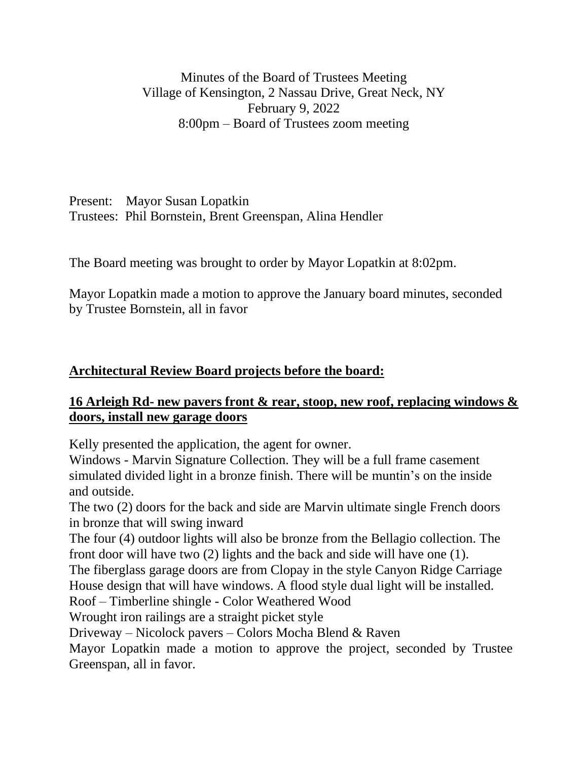Minutes of the Board of Trustees Meeting Village of Kensington, 2 Nassau Drive, Great Neck, NY February 9, 2022 8:00pm – Board of Trustees zoom meeting

Present: Mayor Susan Lopatkin Trustees: Phil Bornstein, Brent Greenspan, Alina Hendler

The Board meeting was brought to order by Mayor Lopatkin at 8:02pm.

Mayor Lopatkin made a motion to approve the January board minutes, seconded by Trustee Bornstein, all in favor

## **Architectural Review Board projects before the board:**

## **16 Arleigh Rd- new pavers front & rear, stoop, new roof, replacing windows & doors, install new garage doors**

Kelly presented the application, the agent for owner.

Windows - Marvin Signature Collection. They will be a full frame casement simulated divided light in a bronze finish. There will be muntin's on the inside and outside.

The two (2) doors for the back and side are Marvin ultimate single French doors in bronze that will swing inward

The four (4) outdoor lights will also be bronze from the Bellagio collection. The front door will have two (2) lights and the back and side will have one (1).

The fiberglass garage doors are from Clopay in the style Canyon Ridge Carriage House design that will have windows. A flood style dual light will be installed.

Roof – Timberline shingle - Color Weathered Wood

Wrought iron railings are a straight picket style

Driveway – Nicolock pavers – Colors Mocha Blend & Raven

Mayor Lopatkin made a motion to approve the project, seconded by Trustee Greenspan, all in favor.